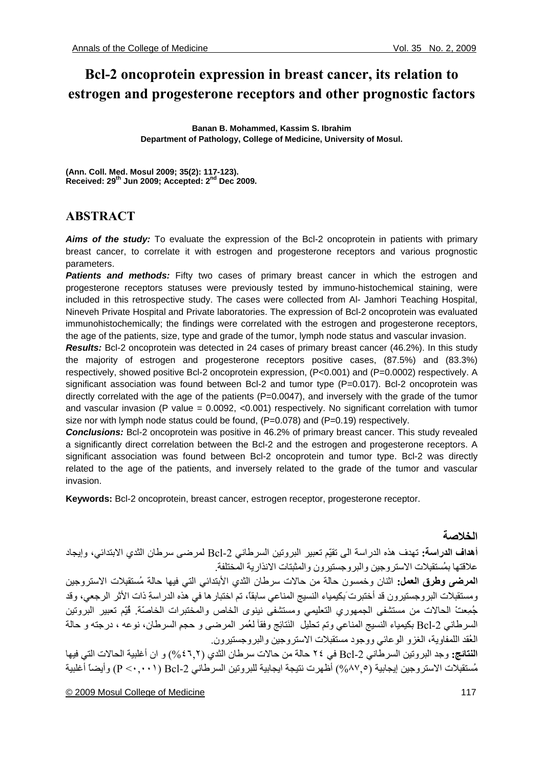# **Bcl-2 oncoprotein expression in breast cancer, its relation to estrogen and progesterone receptors and other prognostic factors**

**Banan B. Mohammed, Kassim S. Ibrahim Department of Pathology, College of Medicine, University of Mosul.** 

**(Ann. Coll. Med. Mosul 2009; 35(2): 117-123). Received: 29th Jun 2009; Accepted: 2nd Dec 2009.** 

# **ABSTRACT**

*Aims of the study:* To evaluate the expression of the Bcl-2 oncoprotein in patients with primary breast cancer, to correlate it with estrogen and progesterone receptors and various prognostic parameters.

**Patients and methods:** Fifty two cases of primary breast cancer in which the estrogen and progesterone receptors statuses were previously tested by immuno-histochemical staining, were included in this retrospective study. The cases were collected from Al- Jamhori Teaching Hospital, Nineveh Private Hospital and Private laboratories. The expression of Bcl-2 oncoprotein was evaluated immunohistochemically; the findings were correlated with the estrogen and progesterone receptors, the age of the patients, size, type and grade of the tumor, lymph node status and vascular invasion.

*Results:* Bcl-2 oncoprotein was detected in 24 cases of primary breast cancer (46.2%). In this study the majority of estrogen and progesterone receptors positive cases, (87.5%) and (83.3%) respectively, showed positive Bcl-2 oncoprotein expression, (P<0.001) and (P=0.0002) respectively. A significant association was found between Bcl-2 and tumor type (P=0.017). Bcl-2 oncoprotein was directly correlated with the age of the patients  $(P=0.0047)$ , and inversely with the grade of the tumor and vascular invasion (P value =  $0.0092$ , <0.001) respectively. No significant correlation with tumor size nor with lymph node status could be found,  $(P=0.078)$  and  $(P=0.19)$  respectively.

*Conclusions:* Bcl-2 oncoprotein was positive in 46.2% of primary breast cancer. This study revealed a significantly direct correlation between the Bcl-2 and the estrogen and progesterone receptors. A significant association was found between Bcl-2 oncoprotein and tumor type. Bcl-2 was directly related to the age of the patients, and inversely related to the grade of the tumor and vascular invasion.

**Keywords:** Bcl-2 oncoprotein, breast cancer, estrogen receptor, progesterone receptor.

# **الخلاصة**

**أهداف الدراسة:** تهدف هذه الدراسة الى تقيّم تعبير البروتين السرطاني -2Bcl لمرضى سرطان الثدي الابتدائي، وإيجاد علاقتها بمُستقبِلات الاستروجين والبروجستيرون والمثبتات الانذارية المختلفة.

**المرضى وطرق العمل:** اثنان وخمسون حالة من حالات سرطان الثدي الأبتدائيِ التي فيها حالة مُستقبِلات الاستروجين ومستقبلات البروجستيرون قد أختبرتَبكيمياء النسيج المناعي سابقا،ً تم اختبارها في هذه الدراسةِ ذات الأثر الرجعي، وقد جُمِعتْ الحالات من مستشفى الجمهوري التعليمي ومستشفى نينوى الخاص والمختبرات الخاصّة. قُيّم تعبير البروتين السرطاني Bcl-2 بكيمياء النسيج المناعي وتم تحليل النَتائِج وفقآ لعُمر المرضى و حجمِ السرطان، نوعه ، درجته و حالة العُقد اللمفاوية، الغزو الوعائي ووجود مستقبلات الاستروجين والبروجستيرون.ِ

**النتائج:** وجد البروتين السرطاني -2Bcl في ٢٤ حالة من حالات سرطان الثدي (%٤٦,٢) و ان أغلبية الحالات التي فيها مُستقبِلات الاستروجين إيجابية (%٨٧,٥) أظهرت نتيجة ايجابية للبروتين السرطاني -2Bcl) ٠,٠٠١ <P (وأيضاً أغلبية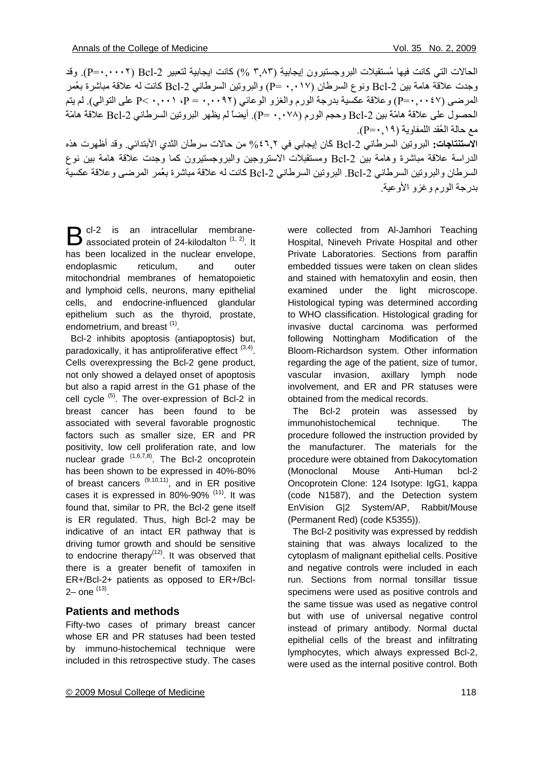الحالات التي كانت فيها مُستقبِلات البروجستيرونِ إيجابيةِ (٣,٨٣ %) كانت ايجابية لتعبير 2-P=٠,٠٠٠٢). وقد وجدت علاقة هامة بين 2-Bcl ونوع السرطان (٠,٠١٧ =P) والبروتين السرطاني 2-Bcl كانت له علاقة مباشرة بعُمر المرضى (١٤٧. , +=P) وعلاقة عكسية بدرجة الورم والغزو الوعائي (٠,٠٩٢ + = P، ٠,٠٠١ على التوالي). لم يتم الحصول على علاقةَ هامّةَ بين -2Bcl وحجم الورم (٠,٠٧٨ =P(. أيضاً لم يظهر البروتين السرطاني -2Bcl علاقةَ هامّةَ مع حالة العُقد اللمفاويةَ (٠,١٩=P(.

**الاستنتاجات:** البروتين السرطاني -2Bcl آَان إيجابي في %٤٦,٢ من حالات سرطان الثدي الأبتدائي. وقد أظهرت هذه الدراسة علاقة مباشرة وهامة بين 2-Bcl ومستقبلات الاستروجين والبروجستيرون كما وجدت علاقة هامة بين نوع السرطان والبروتين السرطاني -2Bcl. البروتين السرطاني -2Bcl آانت له علاقة مباشرة بعُمر المرضى وعلاقة عكسية بدرجة الورم وغزو الأوعية.

cl-2 is an intracellular membrane- $\mathbf{B}$  cl-2 is an intracellular membrane-<br>associated protein of 24-kilodalton  $(1, 2)$ . It has been localized in the nuclear envelope, endoplasmic reticulum, and outer mitochondrial membranes of hematopoietic and lymphoid cells, neurons, many epithelial cells, and endocrine-influenced glandular epithelium such as the thyroid, prostate, endometrium, and breast (1).

 Bcl-2 inhibits apoptosis (antiapoptosis) but, paradoxically, it has antiproliferative effect  $(3,4)$ . Cells overexpressing the Bcl-2 gene product, not only showed a delayed onset of apoptosis but also a rapid arrest in the G1 phase of the cell cycle <sup>(5)</sup>. The over-expression of Bcl-2 in breast cancer has been found to be associated with several favorable prognostic factors such as smaller size, ER and PR positivity, low cell proliferation rate, and low nuclear grade (1,6,7,8). The Bcl-2 oncoprotein has been shown to be expressed in 40%-80% of breast cancers  $(9,10,11)$ , and in ER positive cases it is expressed in 80%-90% (11). It was found that, similar to PR, the Bcl-2 gene itself is ER regulated. Thus, high Bcl-2 may be indicative of an intact ER pathway that is driving tumor growth and should be sensitive to endocrine therapy<sup> $(12)$ </sup>. It was observed that there is a greater benefit of tamoxifen in ER+/Bcl-2+ patients as opposed to ER+/Bcl- $2-$  one  $^{(13)}$ .

# **Patients and methods**

Fifty-two cases of primary breast cancer whose ER and PR statuses had been tested by immuno-histochemical technique were included in this retrospective study. The cases

were collected from Al-Jamhori Teaching Hospital, Nineveh Private Hospital and other Private Laboratories. Sections from paraffin embedded tissues were taken on clean slides and stained with hematoxylin and eosin, then examined under the light microscope. Histological typing was determined according to WHO classification. Histological grading for invasive ductal carcinoma was performed following Nottingham Modification of the Bloom-Richardson system. Other information regarding the age of the patient, size of tumor, vascular invasion, axillary lymph node involvement, and ER and PR statuses were obtained from the medical records.

 The Bcl-2 protein was assessed by immunohistochemical technique. The procedure followed the instruction provided by the manufacturer. The materials for the procedure were obtained from Dakocytomation (Monoclonal Mouse Anti-Human bcl-2 Oncoprotein Clone: 124 Isotype: IgG1, kappa (code N1587), and the Detection system EnVision G|2 System/AP, Rabbit/Mouse (Permanent Red) (code K5355)).

 The Bcl-2 positivity was expressed by reddish staining that was always localized to the cytoplasm of malignant epithelial cells. Positive and negative controls were included in each run. Sections from normal tonsillar tissue specimens were used as positive controls and the same tissue was used as negative control but with use of universal negative control instead of primary antibody. Normal ductal epithelial cells of the breast and infiltrating lymphocytes, which always expressed Bcl-2, were used as the internal positive control. Both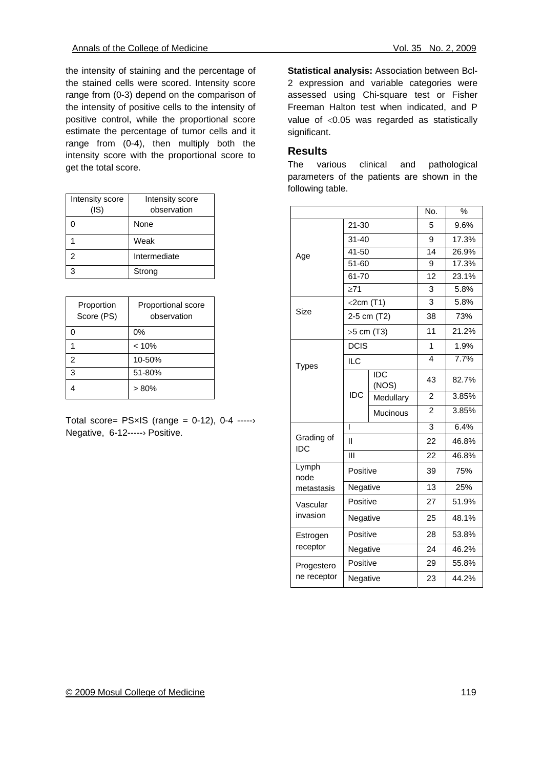the intensity of staining and the percentage of the stained cells were scored. Intensity score range from (0-3) depend on the comparison of the intensity of positive cells to the intensity of positive control, while the proportional score estimate the percentage of tumor cells and it range from (0-4), then multiply both the intensity score with the proportional score to get the total score.

| Intensity score | Intensity score |  |  |
|-----------------|-----------------|--|--|
| (IS)            | observation     |  |  |
| 0               | None            |  |  |
|                 | Weak            |  |  |
| 2               | Intermediate    |  |  |
| 3               | Strong          |  |  |

| Proportion<br>Score (PS) | Proportional score<br>observation |
|--------------------------|-----------------------------------|
| ი                        | 0%                                |
|                          | < 10%                             |
| 2                        | 10-50%                            |
| 3                        | 51-80%                            |
|                          | $> 80\%$                          |

Total score=  $PSxIS$  (range = 0-12), 0-4 ----- $\rightarrow$ Negative, 6-12-----› Positive.

**Statistical analysis:** Association between Bcl-2 expression and variable categories were assessed using Chi-square test or Fisher Freeman Halton test when indicated, and P value of <0.05 was regarded as statistically significant.

# **Results**

The various clinical and pathological parameters of the patients are shown in the following table.

|                           |              |                     | No.            | $\%$  |
|---------------------------|--------------|---------------------|----------------|-------|
| Age                       | $21 - 30$    |                     | 5              | 9.6%  |
|                           | $31 - 40$    |                     | 9              | 17.3% |
|                           | 41-50        |                     | 14             | 26.9% |
|                           | 51-60        |                     | 9              | 17.3% |
|                           | 61-70        |                     | 12             | 23.1% |
|                           | $\geq$ 71    |                     | 3              | 5.8%  |
| Size                      | $<$ 2cm (T1) |                     | 3              | 5.8%  |
|                           | 2-5 cm (T2)  |                     | 38             | 73%   |
|                           | >5 cm (T3)   |                     | 11             | 21.2% |
| <b>Types</b>              | <b>DCIS</b>  |                     | 1              | 1.9%  |
|                           | <b>ILC</b>   |                     | 4              | 7.7%  |
|                           | <b>IDC</b>   | <b>IDC</b><br>(NOS) | 43             | 82.7% |
|                           |              | Medullary           | $\overline{2}$ | 3.85% |
|                           |              | <b>Mucinous</b>     | $\overline{2}$ | 3.85% |
| Grading of<br>IDC         | T            |                     | 3              | 6.4%  |
|                           | Ш            |                     | 22             | 46.8% |
|                           | Ш            |                     | 22             | 46.8% |
| Lymph<br>node             |              | Positive            |                | 75%   |
| metastasis                | Negative     |                     | 13             | 25%   |
| Vascular<br>invasion      | Positive     |                     | 27             | 51.9% |
|                           | Negative     |                     | 25             | 48.1% |
| Estrogen<br>receptor      |              | Positive            |                | 53.8% |
|                           | Negative     |                     | 24             | 46.2% |
| Progestero<br>ne receptor |              | Positive            |                | 55.8% |
|                           | Negative     |                     | 23             | 44.2% |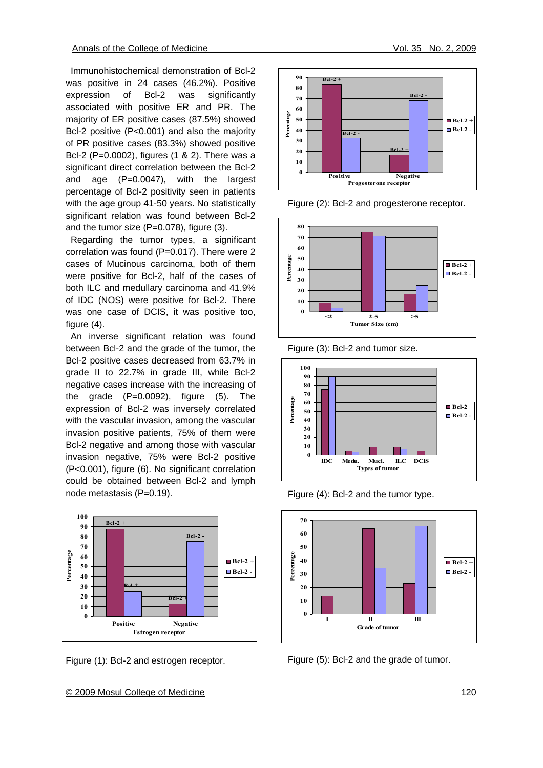Immunohistochemical demonstration of Bcl-2 was positive in 24 cases (46.2%). Positive expression of Bcl-2 was significantly associated with positive ER and PR. The majority of ER positive cases (87.5%) showed Bcl-2 positive (P<0.001) and also the majority of PR positive cases (83.3%) showed positive Bcl-2 (P=0.0002), figures (1 & 2). There was a significant direct correlation between the Bcl-2 and age (P=0.0047), with the largest percentage of Bcl-2 positivity seen in patients with the age group 41-50 years. No statistically significant relation was found between Bcl-2 and the tumor size (P=0.078), figure (3).

 Regarding the tumor types, a significant correlation was found (P=0.017). There were 2 cases of Mucinous carcinoma, both of them were positive for Bcl-2, half of the cases of both ILC and medullary carcinoma and 41.9% of IDC (NOS) were positive for Bcl-2. There was one case of DCIS, it was positive too, figure (4).

 An inverse significant relation was found between Bcl-2 and the grade of the tumor, the Bcl-2 positive cases decreased from 63.7% in grade II to 22.7% in grade III, while Bcl-2 negative cases increase with the increasing of the grade  $(P=0.0092)$ , figure  $(5)$ . The expression of Bcl-2 was inversely correlated with the vascular invasion, among the vascular invasion positive patients, 75% of them were Bcl-2 negative and among those with vascular invasion negative, 75% were Bcl-2 positive (P<0.001), figure (6). No significant correlation could be obtained between Bcl-2 and lymph node metastasis (P=0.19).



Figure (1): Bcl-2 and estrogen receptor.



Figure (2): Bcl-2 and progesterone receptor.



Figure (3): Bcl-2 and tumor size.



Figure (4): Bcl-2 and the tumor type.



Figure (5): Bcl-2 and the grade of tumor.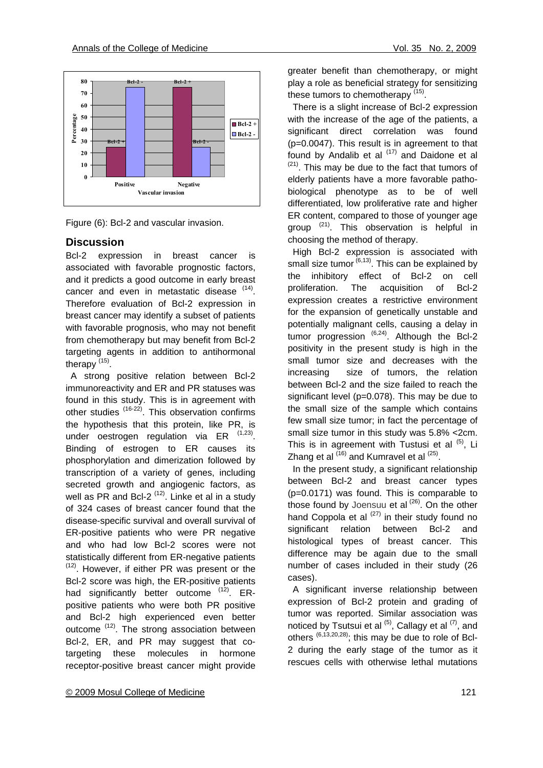



### **Discussion**

Bcl-2 expression in breast cancer is associated with favorable prognostic factors, and it predicts a good outcome in early breast cancer and even in metastatic disease  $(14)$ . Therefore evaluation of Bcl-2 expression in breast cancer may identify a subset of patients with favorable prognosis, who may not benefit from chemotherapy but may benefit from Bcl-2 targeting agents in addition to antihormonal therapy (15).

 A strong positive relation between Bcl-2 immunoreactivity and ER and PR statuses was found in this study. This is in agreement with other studies (16-22). This observation confirms the hypothesis that this protein, like PR, is under oestrogen regulation via ER  $(1,23)$ . Binding of estrogen to ER causes its phosphorylation and dimerization followed by transcription of a variety of genes, including secreted growth and angiogenic factors, as well as PR and Bcl-2<sup> $(12)$ </sup>. Linke et al in a study of 324 cases of breast cancer found that the disease-specific survival and overall survival of ER-positive patients who were PR negative and who had low Bcl-2 scores were not statistically different from ER-negative patients (12). However, if either PR was present or the Bcl-2 score was high, the ER-positive patients had significantly better outcome <sup>(12)</sup>. ERpositive patients who were both PR positive and Bcl-2 high experienced even better outcome <sup>(12)</sup>. The strong association between Bcl-2, ER, and PR may suggest that cotargeting these molecules in hormone receptor-positive breast cancer might provide greater benefit than chemotherapy, or might play a role as beneficial strategy for sensitizing these tumors to chemotherapy  $(15)$ .

 There is a slight increase of Bcl-2 expression with the increase of the age of the patients, a significant direct correlation was found (p=0.0047). This result is in agreement to that found by Andalib et al  $(17)$  and Daidone et al  $(21)$ . This may be due to the fact that tumors of elderly patients have a more favorable pathobiological phenotype as to be of well differentiated, low proliferative rate and higher ER content, compared to those of younger age group  $(21)$ . This observation is helpful in choosing the method of therapy.

 High Bcl-2 expression is associated with small size tumor  $(6,13)$ . This can be explained by the inhibitory effect of Bcl-2 on cell proliferation. The acquisition of Bcl-2 expression creates a restrictive environment for the expansion of genetically unstable and potentially malignant cells, causing a delay in tumor progression  $^{(6,24)}$ . Although the Bcl-2 positivity in the present study is high in the small tumor size and decreases with the increasing size of tumors, the relation between Bcl-2 and the size failed to reach the significant level (p=0.078). This may be due to the small size of the sample which contains few small size tumor; in fact the percentage of small size tumor in this study was 5.8% <2cm. This is in agreement with Tustusi et al  $(5)$ , Li Zhang et al  $^{(16)}$  and Kumravel et al  $^{(25)}$ .

 In the present study, a significant relationship between Bcl-2 and breast cancer types (p=0.0171) was found. This is comparable to those found by Joensuu et al  $(26)$ . On the other hand Coppola et al  $^{(27)}$  in their study found no significant relation between Bcl-2 and histological types of breast cancer. This difference may be again due to the small number of cases included in their study (26 cases).

 A significant inverse relationship between expression of Bcl-2 protein and grading of tumor was reported. Similar association was noticed by Tsutsui et al  $^{(5)}$ , Callagy et al  $^{(7)}$ , and others  $(6, 13, 20, 28)$ ; this may be due to role of Bcl-2 during the early stage of the tumor as it rescues cells with otherwise lethal mutations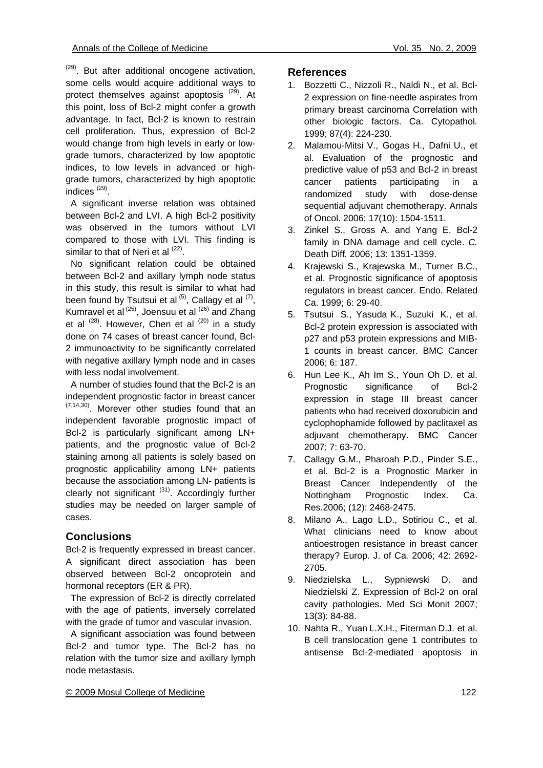$(29)$ . But after additional oncogene activation, some cells would acquire additional ways to protect themselves against apoptosis <sup>(29)</sup>. At this point, loss of Bcl-2 might confer a growth advantage. In fact, Bcl-2 is known to restrain cell proliferation. Thus, expression of Bcl-2 would change from high levels in early or lowgrade tumors, characterized by low apoptotic indices, to low levels in advanced or highgrade tumors, characterized by high apoptotic indices (29).

 A significant inverse relation was obtained between Bcl-2 and LVI. A high Bcl-2 positivity was observed in the tumors without LVI compared to those with LVI. This finding is similar to that of Neri et al <sup>(22)</sup>.

 No significant relation could be obtained between Bcl-2 and axillary lymph node status in this study, this result is similar to what had been found by Tsutsui et al  $(5)$ , Callagy et al  $(7)$ , Kumravel et al <sup>(25)</sup>, Joensuu et al <sup>(26)</sup> and Zhang et al  $(28)$ . However, Chen et al  $(20)$  in a study done on 74 cases of breast cancer found, Bcl-2 immunoactivity to be significantly correlated with negative axillary lymph node and in cases with less nodal involvement.

 A number of studies found that the Bcl-2 is an independent prognostic factor in breast cancer  $(7,14,30)$ . Morever other studies found that an independent favorable prognostic impact of Bcl-2 is particularly significant among LN+ patients, and the prognostic value of Bcl-2 staining among all patients is solely based on prognostic applicability among LN+ patients because the association among LN- patients is clearly not significant  $(31)$ . Accordingly further studies may be needed on larger sample of cases.

# **Conclusions**

Bcl-2 is frequently expressed in breast cancer. A significant direct association has been observed between Bcl-2 oncoprotein and hormonal receptors (ER & PR).

 The expression of Bcl-2 is directly correlated with the age of patients, inversely correlated with the grade of tumor and vascular invasion.

 A significant association was found between Bcl-2 and tumor type. The Bcl-2 has no relation with the tumor size and axillary lymph node metastasis.

# **References**

- 1. Bozzetti C., Nizzoli R., Naldi N., et al. Bcl-2 expression on fine-needle aspirates from primary breast carcinoma Correlation with other biologic factors. Ca. Cytopathol*.* 1999; 87(4): 224-230.
- 2. Malamou-Mitsi V., Gogas H., Dafni U., et al. Evaluation of the prognostic and predictive value of p53 and Bcl-2 in breast cancer patients participating in a randomized study with dose-dense sequential adjuvant chemotherapy. Annals of Oncol. 2006; 17(10): 1504-1511.
- 3. Zinkel S., Gross A. and Yang E. Bcl-2 family in DNA damage and cell cycle. *C.*  Death Diff*.* 2006; 13: 1351-1359.
- 4. Krajewski S., Krajewska M., Turner B.C., et al. Prognostic significance of apoptosis regulators in breast cancer. Endo. Related Ca. 1999; 6: 29-40.
- 5. Tsutsui S., Yasuda K., Suzuki K., et al. Bcl-2 protein expression is associated with p27 and p53 protein expressions and MIB-1 counts in breast cancer. BMC Cancer 2006; 6: 187.
- 6. Hun Lee K., Ah Im S., Youn Oh D. et al. Prognostic significance of Bcl-2 expression in stage III breast cancer patients who had received doxorubicin and cyclophophamide followed by paclitaxel as adjuvant chemotherapy. BMC Cancer 2007; 7: 63-70.
- 7. Callagy G.M., Pharoah P.D., Pinder S.E., et al. Bcl-2 is a Prognostic Marker in Breast Cancer Independently of the Nottingham Prognostic Index. Ca. Res*.*2006; (12): 2468-2475.
- 8. Milano A., Lago L.D., Sotiriou C., et al. What clinicians need to know about antioestrogen resistance in breast cancer therapy? Europ. J. of Ca*.* 2006; 42: 2692- 2705.
- 9. Niedzielska L., Sypniewski D. and Niedzielski Z. Expression of Bcl-2 on oral cavity pathologies. Med Sci Monit 2007; 13(3): 84-88.
- 10. Nahta R., Yuan L.X.H., Fiterman D.J. et al. B cell translocation gene 1 contributes to antisense Bcl-2-mediated apoptosis in